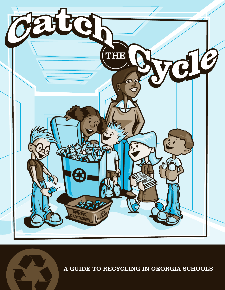

A GUIDE TO RECYCLING IN GEORGIA SCHOOLS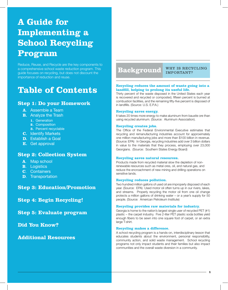# **A Guide for Implementing a School Recycling Program**

Reduce, Reuse, and Recycle are the key components to a comprehensive school waste reduction program. This guide focuses on recycling, but does not discount the importance of reduction and reuse.

# **Table of Contents**

# **Step 1: Do your Homework**

### **A**. Assemble a Team

- **B.** Analyze the Trash
	- **1.** Generation
	- **2.** Composition
	- **3.** Percent recyclable
- **C.** Identify Markets
- **D.** Establish a Goal
- **E.** Get approval

# **Step 2: Collection System**

- **A**. Map school
- **B**. Logistics
- **C**. Containers
- **D**. Transportation

**Step 3: Education/Promotion**

**Step 4: Begin Recycling!**

**Step 5: Evaluate program**

**Did You Know?**

# **Additional Resources**

# **Background**

WHY IS RECYCLING IMPORTANT?

#### **Recycling reduces the amount of waste going into a**  landfill, helping to prolong its useful life.

Thirty percent of the waste disposed in the United States each year is recovered and recycled or composted, fifteen percent is burned at combustion facilities, and the remaining fifty-five percent is disposed of in landfills. (Source: U.S. E.P.A.)

#### **Recycling saves energy.**

It takes 20 times more energy to make aluminum from bauxite ore than using recycled aluminum. (Source: Aluminum Association).

#### **Recycling creates jobs.**

The Office of the Federal Environmental Executive estimates that recycling and remanufacturing industries account for approximately one million manufacturing jobs and more than \$100 billion in revenue. (Source: EPA) In Georgia, recycling industries add over 3 billion dollars in value to the materials that they process, employing over 23,000 Georgians. (Source: Southern States Energy Board)

#### **Recycling saves natural resources.**

Products made from recycled material slow the depletion of nonrenewable resources such as metal ores, oil, and natural gas, and reduce the encroachment of new mining and drilling operations on sensitive lands.

#### **Recycling reduces pollution.**

Two hundred million gallons of used oil are improperly disposed of each year. (Source: EPA) Used motor oil often turns up in our rivers, lakes, and streams. Properly recycling the motor oil from one oil change protects a million gallons of drinking water – or a year's supply for 50 people. (Source: American Petroleum Institute)

#### **Recycling provides raw materials for industry.**

Georgia is home to the nation's largest single user of recycled PET (#1) plastic ~ the carpet industry. Five 2-liter PET plastic soda bottles yield enough fibers to be sewn into one square foot of carpet, or an extra large T-shirt.

#### **Recycling makes a difference.**

A school recycling program is a hands-on, interdisciplinary lesson that educates students about the environment, personal responsibility, community action, and solid waste management. School recycling programs not only impact students and their families but also impact communities and the overall waste diversion in a community.

**1**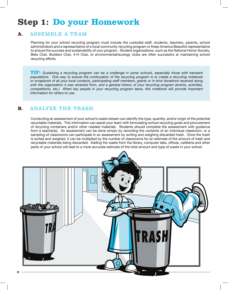# **Step 1: Do your Homework**

# **A.** ASSEMBLE A TEAM

Planning for your school recycling program must include the custodial staff, students, teachers, parents, school administrators and a representative of a local community recycling program or Keep America Beautiful representative to ensure the success and sustainability of your program. Student organizations, such as the National Honor Society, Beta Club, Builders Club, 4-H Club, or environmental/ecology clubs are often successful at maintaining school recycling efforts.

**TIP:** *Sustaining a recycling program can be a challenge in some schools, especially those with transient populations. One way to ensure the continuation of the recycling program is to create a recycling notebook or scrapbook of all your local contacts, participating staff members, grants or in-kind donations received along with the organization it was received from, and a general history of your recycling program (events, activities, competitions, etc.) When key people in your recycling program leave, this notebook will provide important information for others to use.* 

# **B.** ANALYZE THE TRASH

Conducting an assessment of your school's waste stream can identify the type, quantity, and/or origin of the potential recyclable materials. This information can assist your team with formulating school recycling goals and procurement of recycling containers and/or other needed materials. Students should complete the assessment with guidance from a teacher(s). An assessment can be done simply by recording the contents of an individual classroom, or a sampling of classrooms can participate in an assessment by sorting and weighing discarded trash. Once the trash is sorted and weighed, it can be multiplied by the number of classrooms for an estimate of the amount of trash and recyclable materials being discarded. Adding the waste from the library, computer labs, offices, cafeteria and other parts of your school will lead to a more accurate estimate of the total amount and type of waste in your school.

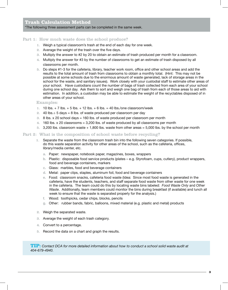# **Trash Calculation Method**

\*The following three assessment parts can be completed in the same week.

#### Part 1: How much waste does the school produce?

- 1. Weigh a typical classroom's trash at the end of each day for one week.
- 2. Average the weight of the trash over the five days.
- 3. Multiply the answer to #2 by 20 to obtain an estimate of trash produced per month for a classroom.
- 4. Multiply the answer for #3 by the number of classrooms to get an estimate of trash disposed by all classrooms per month.
- 5. Do steps #1-3 for the cafeteria, library, teacher work room, office and other school areas and add the results to the total amount of trash from classrooms to obtain a monthly total. (Hint: This may not be possible at some schools due to the enormous amount of waste generated, lack of storage areas in the school for the waste, and sanitary issues). Work closely with your custodial staff to estimate other areas of your school. Have custodians count the number of bags of trash collected from each area of your school during one school day. Ask them to sort and weigh one bag of trash from each of those areas to aid with estimation. In addition, a custodian may be able to estimate the weight of the recyclables disposed of in other areas of your school.

Examples:

- 1. 10 lbs. + 7 lbs. + 5 lbs. + 12 lbs. + 6 lbs. = 40 lbs./one classroom/week
- 2. 40 lbs. $\div$  5 days = 8 lbs. of waste produced per classroom per day
- 3. 8 lbs. x 20 school days = 160 lbs. of waste produced per classroom per month
- 4. 160 lbs. x 20 classrooms = 3,200 lbs. of waste produced by all classrooms per month
- 5. 3,200 lbs. classroom waste + 1,800 lbs. waste from other areas = 5,000 lbs. by the school per month

#### Part 2: What is the composition of school waste before recycling?

- 1. Separate the waste from the classroom trash bin into the following seven categories. If possible, do this waste separation activity for other areas of the school, such as the cafeteria, offices, library/media center, etc.
	- **a.** Paper: newspaper, notebook paper, magazines, boxes, wrappers
	- **b.** Plastic: disposable food service products (plates e.g. Styrofoam, cups, cutlery), product wrappers, food and beverage containers, markers
	- **c.** Glass: marbles, food and beverage containers
	- **d.** Metal: paper clips, staples, aluminum foil, food and beverage containers
	- **e.** Food: classroom snacks, cafeteria food waste (Idea: Since most food waste is generated in the cafeteria, have the students, teachers, and staff separate food waste from other waste for one week in the cafeteria. The team could do this by locating waste bins labeled: *Food Waste Only* and *Other Waste*. Additionally, team members could monitor the bins during breakfast (if available) and lunch all week to ensure that the waste is separated properly for the analysis.)
	- **f.** Wood: toothpicks, cedar chips, blocks, pencils
	- **g.** Other: rubber bands, fabric, balloons, mixed material (e.g. plastic and metal) products
- 2. Weigh the separated waste.
- 3. Average the weight of each trash category.
- 4. Convert to a percentage.
- 5. Record the data on a chart and graph the results.

**TIP:** *Contact DCA for more detailed information about how to conduct a school solid waste audit at 404-679-4940.*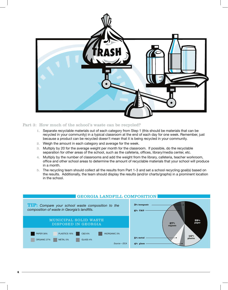

#### Part 3: How much of the school's waste can be recycled?

- 1. Separate recyclable materials out of each category from Step 1 (this should be materials that can be recycled in your community) in a typical classroom at the end of each day for one week. Remember, just because a product can be recycled doesn't mean that it is being recycled in your community.
- 2. Weigh the amount in each category and average for the week.
- 3. Multiply by 20 for the average weight per month for the classroom. If possible, do the recyclable separation for other areas of the school, such as the cafeteria, offices, library/media center, etc.
- 4. Multiply by the number of classrooms and add the weight from the library, cafeteria, teacher workroom, office and other school areas to determine the amount of recyclable materials that your school will produce in a month.
- 5. The recycling team should collect all the results from Part 1-3 and set a school recycling goal(s) based on the results. Additionally, the team should display the results (and/or charts/graphs) in a prominent location in the school.



### GEORGIA LANDFILL COMPOSITION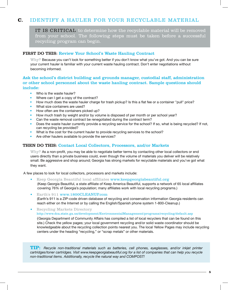# **C.** IDENTIFY A HAULER FOR YOUR RECYCLABLE MATERIAL

IT IS CRITICAL to determine how the recyclable material will be removed from your school. The following steps must be taken before a successful recycling program can begin.

#### FIRST DO THIS: Review Your School's Waste Hauling Contract

Why? Because you can't look for something better if you don't know what you've got. And you can be sure your current hauler is familiar with your current waste hauling contract. Don't enter negotiations without becoming informed.

# Ask the school's district building and grounds manager, custodial staff, administration or other school personnel about the waste hauling contract. Sample questions should include:

- Who is the waste hauler?
- Where can I get a copy of the contract?
- How much does the waste hauler charge for trash pickup? Is this a flat fee or a container "pull" price?
- What size containers are used?
- How often are the containers picked up?
- How much trash by weight and/or by volume is disposed of per month or per school year?
- Can the waste removal contract be renegotiated during the contract term?
- Does the waste hauler currently provide a recycling service for the school? If so, what is being recycled? If not, can recycling be provided?
- What is the cost for the current hauler to provide recycling services to the school?
- Are other haulers available to provide the services?

#### THEN DO THIS: Contact Local Collectors, Processors, and/or Markets

Why? As a non-profit, you may be able to negotiate better terms by contacting other local collectors or end users directly than a private business could, even though the volume of materials you deliver will be relatively small. Be aggressive and shop around; Georgia has strong markets for recyclable materials and you've got what they want.

A few places to look for local collectors, processors and markets include:

- Keep Georgia Beautiful local affiliates www.keepgeorgiabeautiful.org (Keep Georgia Beautiful, a state affiliate of Keep America Beautiful, supports a network of 65 local affiliates covering 76% of Georgia's population; many affiliates work with local recycling programs.)
- Earth's 911 www.1800CLEANUP.com (Earth's 911 is a ZIP-code driven database of recycling and conservation information Georgia residents can reach either on the Internet or by calling the English/Spanish phone system 1-800-Cleanup.)

• Recycling Markets Directory http://www.dca.state.ga.us/development/EnvironmentalManagement/programs/recycling/default.asp

(Georgia Department of Community Affairs has compiled a list of local recyclers that can be found on this site.) Check the yellow pages; your local government recycling and/or solid waste coordinator should be knowledgeable about the recycling collection points nearest you. The local Yellow Pages may include recycling centers under the heading "recycling," or "scrap metals" or other materials.

**TIP:** *Recycle non-traditional materials such as batteries, cell phones, eyeglasses, and/or inkjet printer cartridges/toner cartridges. Visit www.keepgeorgiabeautiful.org for a list of companies that can help you recycle non-traditional items. Additionally, recycle the natural way and COMPOST!*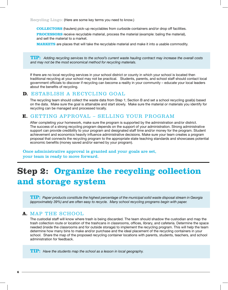Recycling Lingo: (Here are some key terms you need to know.)

**COLLECTORS** (haulers) pick-up recyclables from curbside containers and/or drop off facilities.

**PROCESSORS** receive recyclable material, process the material (example: baling the material), and sell the material to a market.

**MARKETS** are places that will take the recyclable material and make it into a usable commodity.

**TIP:** *Adding recycling services to the school's current waste hauling contract may increase the overall costs and may not be the most economical method for recycling materials.*

If there are no local recycling services in your school district or county in which your school is located then traditional recycling at your school may not be practical. Students, parents, and school staff should contact local government officials to discover if recycling can become a reality in your community – educate your local leaders about the benefits of recycling.

# **D.** ESTABLISH A RECYCLING GOAL

The recycling team should collect the waste data from Step 1; Section B and set a school recycling goal(s) based on the data. Make sure the goal is attainable and start slowly. Make sure the material or materials you identify for recycling can be managed and processed locally.

# **E.** GETTING APPROVAL – SELLING YOUR PROGRAM

After completing your homework, make sure the program is supported by the administration and/or district. The success of a strong recycling program depends on the support of your administration. Strong administrative support can provide credibility to your program and designated staff time and/or money for the program. Student achievement and economics heavily influence administrative decisions. Make sure your team creates a program proposal that connects the recycling program to the appropriate state teaching standards and showcases potential economic benefits (money saved and/or earned by your program).

Once administrative approval is granted and your goals are set, your team is ready to move forward.

# **Step 2: Organize the recycling collection and storage system**

**TIP:** *Paper products constitute the highest percentage of the municipal solid waste disposal stream in Georgia (approximately 39%) and are often easy to recycle. Many school recycling programs begin with paper.*

# **A.** MAP THE SCHOOL

The custodial staff will know where trash is being discarded. The team should shadow the custodian and map the trash collection route or location of the trashcans in classrooms, offices, library, and cafeteria. Determine the space needed (inside the classrooms and for outside storage) to implement the recycling program. This will help the team determine how many bins to make and/or purchase and the ideal placement of the recycling containers in your school. Share the map of the proposed recycling container locations with parents, students, teachers, and school administration for feedback.

**TIP:** *Have the students map the school as a lesson in local geography.*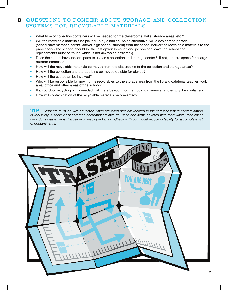# **B.** QUESTIONS TO PONDER ABOUT STORAGE AND COLLECTION SYSTEMS FOR RECYCLABLE MATERIALS

- What type of collection containers will be needed for the classrooms, halls, storage areas, etc.?
- Will the recyclable materials be picked up by a hauler? As an alternative, will a designated person (school staff member, parent, and/or high school student) from the school deliver the recyclable materials to the processor? (The second should be the last option because one person can leave the school and replacements must be found which is not always an easy task).
- Does the school have indoor space to use as a collection and storage center? If not, is there space for a large outdoor container?
- How will the recyclable materials be moved from the classrooms to the collection and storage areas?
- How will the collection and storage bins be moved outside for pickup?
- How will the custodian be involved?
- Who will be responsible for moving the recyclables to the storage area from the library, cafeteria, teacher work area, office and other areas of the school?
- If an outdoor recycling bin is needed, will there be room for the truck to maneuver and empty the container?
- How will contamination of the recyclable materials be prevented?

**TIP:** *Students must be well educated when recycling bins are located in the cafeteria where contamination is very likely. A short list of common contaminants include: food and items covered with food waste; medical or hazardous waste; facial tissues and snack packages. Check with your local recycling facility for a complete list of contaminants.* 

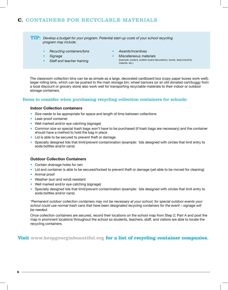# **C.** CONTAINERS FOR RECYCLABLE MATERIALS

**TIP:** *Develop a budget for your program. Potential start-up costs of your school recycling program may include:*

- *Recycling containers/bins*
- *Signage*
- *Staff and teacher training*
- *Awards/incentives*
- *Miscellaneous materials (example: posters, bulletin board decorations, books, lesson/activity material, etc.)*

The classroom collection bins can be as simple as a large, decorated cardboard box (copy paper boxes work well); larger rolling bins, which can be pushed to the main storage bin; wheel barrows (or an old donated cart/buggy from a local discount or grocery store) also work well for transporting recyclable materials to their indoor or outdoor storage containers.

### Items to consider when purchasing recycling collection containers for schools:

#### **Indoor Collection containers**

- Size needs to be appropriate for space and length of time between collections
- Leak-proof container
- Well marked and/or eye catching (signage)
- Common size so special trash bags won't have to be purchased (if trash bags are necessary) and the container should have a method to hold the bag in place
- Lid is able to be secured to prevent theft or damage
- Specially designed lids that limit/prevent contamination (example: lids designed with circles that limit entry to soda bottles and/or cans)

### **Outdoor Collection Containers**

- Contain drainage holes for rain
- Lid and container is able to be secured/locked to prevent theft or damage (yet able to be moved for cleaning)
- Animal proof
- Weather (sun and wind) resistant
- Well marked and/or eye catching (signage)
- Specially designed lids that limit/prevent contamination (example: lids designed with circles that limit entry to soda bottles and/or cans)

*\*Permanent outdoor collection containers may not be necessary at your school; for special outdoor events your school could use normal trash cans that have been designated recycling containers for the event – signage will be needed.*

Once collection containers are secured, record their locations on the school map from Step 2; Part A and post the map in prominent locations throughout the school so students, teachers, staff, and visitors are able to locate the recycling containers.

## **Visit www.keepgeorgiabeautiful.org for a list of recycling container companies.**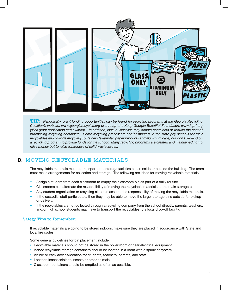

**TIP:** *Periodically, grant funding opportunities can be found for recycling programs at the Georgia Recycling Coalition's website, www.georgiarecycles.org or through the Keep Georgia Beautiful Foundation, www.kgbf.org (click grant application and awards). In addition, local businesses may donate containers or reduce the cost of purchasing recycling containers. Some recycling processors and/or markets in the state pay schools for their recyclables and provide recycling containers (example: paper products and aluminum cans) but don't depend on a recycling program to provide funds for the school. Many recycling programs are created and maintained not to raise money but to raise awareness of solid waste issues.* 

# **D.** MOVING RECYCLABLE MATERIALS

The recyclable materials must be transported to storage facilities either inside or outside the building. The team must make arrangements for collection and storage. The following are ideas for moving recyclable materials:

- Assign a student from each classroom to empty the classroom bin as part of a daily routine.
- Classrooms can alternate the responsibility of moving the recyclable materials to the main storage bin.
- Any student organization or recycling club can assume the responsibility of moving the recyclable materials.
- If the custodial staff participates, then they may be able to move the larger storage bins outside for pickup or delivery.
- If the recyclables are not collected through a recycling company from the school directly, parents, teachers, and/or high school students may have to transport the recyclables to a local drop-off facility.

### Safety Tips to Remember:

If recyclable materials are going to be stored indoors, make sure they are placed in accordance with State and local fire codes.

Some general guidelines for bin placement include:

- Recyclable materials should not be stored in the boiler room or near electrical equipment.
- Indoor recyclable storage containers should be located in a room with a sprinkler system.
- Visible or easy access/location for students, teachers, parents, and staff.
- Location inaccessible to insects or other animals.
- Classroom containers should be emptied as often as possible.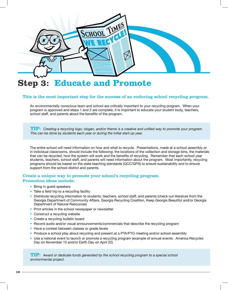

# **Step 3: Educate and Promote**

#### This is the most important step for the success of an enduring school recycling program.

An environmentally conscious team and school are critically important to your recycling program. When your program is approved and steps 1 and 2 are complete, it is important to educate your student body, teachers, school staff, and parents about the benefits of the program.

**TIP:** *Creating a recycling logo, slogan, and/or theme is a creative and unified way to promote your program. This can be done by students each year or during the initial start-up year.*

The entire school will need information on how and what to recycle. Presentations, made at a school assembly or in individual classrooms, should include the following: the locations of the collection and storage bins, the materials that can be recycled, how the system will work and the benefits of recycling. Remember that each school year students, teachers, school staff, and parents will need information about the program. Most importantly, recycling programs should be based on the state teaching standards (QCC/GPS) to ensure sustainability and to ensure support from the school district and parents.

### Create a unique way to promote your school's recycling program. Promotion ideas include:

- Bring in quest speakers
- $\bullet$  Take a field trip to a recycling facility
- Distribute recycling information to students, teachers, school staff, and parents (check out literature from the Georgia Department of Community Affairs, Georgia Recycling Coalition, Keep Georgia Beautiful and/or Georgia Department of Natural Resources)
- Print articles in the school newspaper or newsletter
- Construct a recycling website
- Create a recycling bulletin board
- Record audio and/or visual announcements/commercials that describe the recycling program
- Have a contest between classes or grade levels
- Produce a school play about recycling and present at a PTA/PTO meeting and/or school assembly
- Use a national event to launch or promote a recycling program (example of annual events: America Recycles Day on November 15 and/or Earth Day on April 22)

**TIP:** *Award or dedicate funds generated by the school recycling program to a special school environmental project.*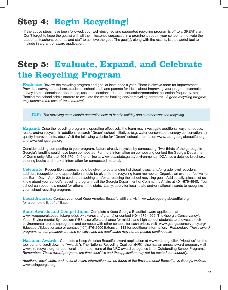# **Step 4: Begin Recycling!**

If the above steps have been followed, your well-designed and supported recycling program is off to a GREAT start! Don't forget to keep the goal(s) with all the milestones surpassed in a prominent spot in your school to motivate the students, teachers, parents, and staff to achieve the goal. The goal(s), along with the results, is a powerful tool to include in a grant or award application.

# **Step 5: Evaluate, Expand, and Celebrate the Recycling Program**

Evaluate: Review the recycling program and goal at least once a year. There is always room for improvement. Provide a survey to teachers, students, school staff, and parents for ideas about improving your program (example survey items: container appearance, use, and location; adequate education/promotion; collection frequency, etc.). Remind the school administrators to evaluate the waste hauling and/or recycling contracts. *A good recycling program may decrease the cost of trash removal.* 

**TIP:** *The recycling team should determine how to handle holiday and summer vacation recycling.*

Expand: Once the recycling program is operating effectively, the team may investigate additional ways to reduce, reuse, and/or recycle. In addition, research "Green" school initiatives (e.g. water conservation, energy conservation, air quality improvements, etc.). Visit the following website for "Green" school information www.keepgeorgiabeautiful.org and www.eeingeorgia.org

Consider adding composting to your program. Nature already recycles by composting. Two-thirds of the garbage in Georgia's landfills could have been composted. For more information on composting contact the Georgia Department of Community Affairs at 404-679-4940 or online at www.dca.state.ga.us/environmental. DCA has a detailed brochure, coloring books and market information for composted material.

Celebrate: Recognition awards should be given to outstanding individual, class, and/or grade level recyclers. In addition, recognition and appreciation should be given to the recycling team members. Organize an event or festival (or use Earth Day – April 22) to celebrate reaching and/or surpassing the school recycling goal. Additionally, please let us know about your school's recycling program; call the Georgia Department of Community Affairs at 404-679-4940. Your school can become a model for others in the state. Lastly, apply for local, state and/or national awards to recognize your school recycling program.

Local Awards: Contact your local Keep America Beautiful affiliate: visit www.keepgeorgiabeautiful.org for a complete list of affiliates.

State Awards and Competitions: Complete a Keep Georgia Beautiful award application at www.keepgeorgiabeautiful.org *(click on awards and grant*s) or contact (404) 679-4922. The Georgia Conservancy's Youth Environmental Symposium (YES) also offers a chance for middle and high school students to showcase their environmental projects/programs and compete with other schools for cash prizes, visit www.georgiaconservancy.org/ Education/Education.asp or contact (404) 876-2900 Extension 113 for additional information. *Remember: These award programs or competitions are time sensitive and the application may not be posted continuously.* 

National Awards: Complete a Keep America Beautiful award application at www.kab.org (click "About us" on the tool bar and scroll down to "Awards"). The National Recycling Coalition (NRC) also has an annual award program, visit www.nrc.recycle.org for additional information (one of the NRC award categories is for Outstanding School Programs). *Remember: These award programs are time sensitive and the application may not be posted continuously.* 

*Additional local, state, and national award information can be found at the Environmental Education in Georgia website* www.eeingeorgia.org.

**11**